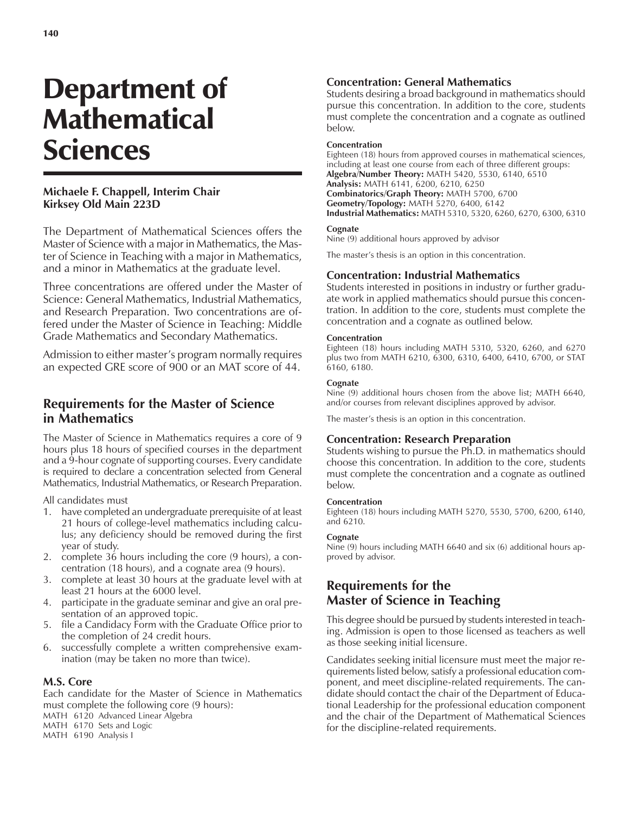# Department of **Mathematical** Sciences

### **Michaele F. Chappell, Interim Chair Kirksey Old Main 223D**

The Department of Mathematical Sciences offers the Master of Science with a major in Mathematics, the Master of Science in Teaching with a major in Mathematics, and a minor in Mathematics at the graduate level.

Three concentrations are offered under the Master of Science: General Mathematics, Industrial Mathematics, and Research Preparation. Two concentrations are offered under the Master of Science in Teaching: Middle Grade Mathematics and Secondary Mathematics.

Admission to either master's program normally requires an expected GRE score of 900 or an MAT score of 44.

# **Requirements for the Master of Science in Mathematics**

The Master of Science in Mathematics requires a core of 9 hours plus 18 hours of specified courses in the department and a 9-hour cognate of supporting courses. Every candidate is required to declare a concentration selected from General Mathematics, Industrial Mathematics, or Research Preparation.

All candidates must

- 1. have completed an undergraduate prerequisite of at least 21 hours of college-level mathematics including calculus; any deficiency should be removed during the first year of study.
- 2. complete 36 hours including the core (9 hours), a concentration (18 hours), and a cognate area (9 hours).
- 3. complete at least 30 hours at the graduate level with at least 21 hours at the 6000 level.
- 4. participate in the graduate seminar and give an oral presentation of an approved topic.
- 5. file a Candidacy Form with the Graduate Office prior to the completion of 24 credit hours.
- 6. successfully complete a written comprehensive examination (may be taken no more than twice).

### **M.S. Core**

Each candidate for the Master of Science in Mathematics must complete the following core (9 hours): MATH 6120 Advanced Linear Algebra MATH 6170 Sets and Logic

MATH 6190 Analysis I

### **Concentration: General Mathematics**

Students desiring a broad background in mathematics should pursue this concentration. In addition to the core, students must complete the concentration and a cognate as outlined below.

### **Concentration**

Eighteen (18) hours from approved courses in mathematical sciences, including at least one course from each of three different groups: **Algebra/Number Theory:** MATH 5420, 5530, 6140, 6510 **Analysis:** MATH 6141, 6200, 6210, 6250 **Combinatorics/Graph Theory:** MATH 5700, 6700 **Geometry/Topology:** MATH 5270, 6400, 6142 **Industrial Mathematics:** MATH 5310, 5320, 6260, 6270, 6300, 6310

### **Cognate**

Nine (9) additional hours approved by advisor

The master's thesis is an option in this concentration.

### **Concentration: Industrial Mathematics**

Students interested in positions in industry or further graduate work in applied mathematics should pursue this concentration. In addition to the core, students must complete the concentration and a cognate as outlined below.

### **Concentration**

Eighteen (18) hours including MATH 5310, 5320, 6260, and 6270 plus two from MATH 6210, 6300, 6310, 6400, 6410, 6700, or STAT 6160, 6180.

### **Cognate**

Nine (9) additional hours chosen from the above list; MATH 6640, and/or courses from relevant disciplines approved by advisor.

The master's thesis is an option in this concentration.

### **Concentration: Research Preparation**

Students wishing to pursue the Ph.D. in mathematics should choose this concentration. In addition to the core, students must complete the concentration and a cognate as outlined below.

### **Concentration**

Eighteen (18) hours including MATH 5270, 5530, 5700, 6200, 6140, and 6210.

### **Cognate**

Nine (9) hours including MATH 6640 and six (6) additional hours approved by advisor.

# **Requirements for the Master of Science in Teaching**

This degree should be pursued by students interested in teaching. Admission is open to those licensed as teachers as well as those seeking initial licensure.

Candidates seeking initial licensure must meet the major requirements listed below, satisfy a professional education component, and meet discipline-related requirements. The candidate should contact the chair of the Department of Educational Leadership for the professional education component and the chair of the Department of Mathematical Sciences for the discipline-related requirements.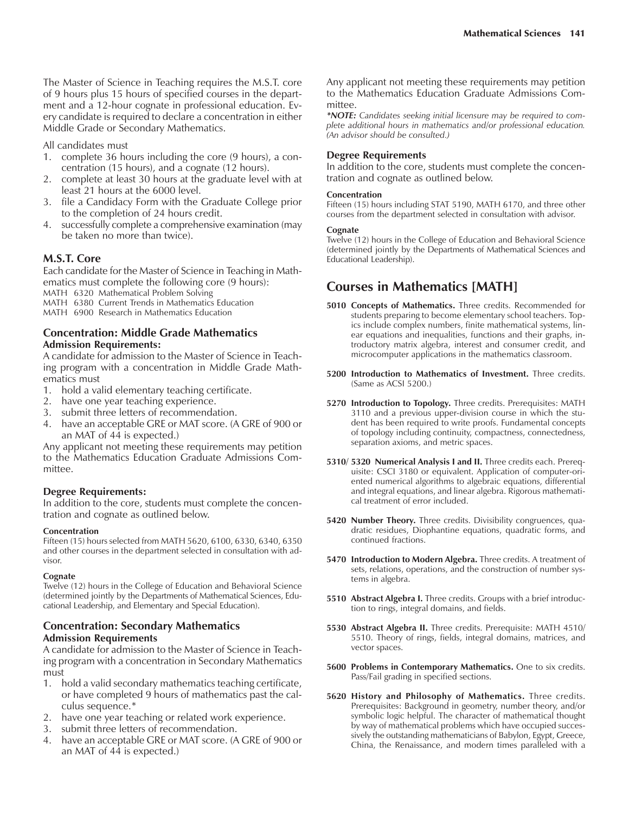The Master of Science in Teaching requires the M.S.T. core of 9 hours plus 15 hours of specified courses in the department and a 12-hour cognate in professional education. Every candidate is required to declare a concentration in either Middle Grade or Secondary Mathematics.

All candidates must

- 1. complete 36 hours including the core (9 hours), a concentration (15 hours), and a cognate (12 hours).
- 2. complete at least 30 hours at the graduate level with at least 21 hours at the 6000 level.
- 3. file a Candidacy Form with the Graduate College prior to the completion of 24 hours credit.
- 4. successfully complete a comprehensive examination (may be taken no more than twice).

### **M.S.T. Core**

Each candidate for the Master of Science in Teaching in Mathematics must complete the following core (9 hours): MATH 6320 Mathematical Problem Solving MATH 6380 Current Trends in Mathematics Education MATH 6900 Research in Mathematics Education

**Concentration: Middle Grade Mathematics Admission Requirements:**

A candidate for admission to the Master of Science in Teaching program with a concentration in Middle Grade Mathematics must

- 1. hold a valid elementary teaching certificate.
- 2. have one year teaching experience.
- 3. submit three letters of recommendation.
- 4. have an acceptable GRE or MAT score. (A GRE of 900 or an MAT of 44 is expected.)

Any applicant not meeting these requirements may petition to the Mathematics Education Graduate Admissions Committee.

### **Degree Requirements:**

In addition to the core, students must complete the concentration and cognate as outlined below.

#### **Concentration**

Fifteen (15) hours selected from MATH 5620, 6100, 6330, 6340, 6350 and other courses in the department selected in consultation with advisor.

#### **Cognate**

Twelve (12) hours in the College of Education and Behavioral Science (determined jointly by the Departments of Mathematical Sciences, Educational Leadership, and Elementary and Special Education).

### **Concentration: Secondary Mathematics Admission Requirements**

A candidate for admission to the Master of Science in Teaching program with a concentration in Secondary Mathematics must

- 1. hold a valid secondary mathematics teaching certificate, or have completed 9 hours of mathematics past the calculus sequence.\*
- 2. have one year teaching or related work experience.
- 3. submit three letters of recommendation.
- 4. have an acceptable GRE or MAT score. (A GRE of 900 or an MAT of 44 is expected.)

Any applicant not meeting these requirements may petition to the Mathematics Education Graduate Admissions Committee.

*\*NOTE: Candidates seeking initial licensure may be required to complete additional hours in mathematics and/or professional education. (An advisor should be consulted.)*

### **Degree Requirements**

In addition to the core, students must complete the concentration and cognate as outlined below.

#### **Concentration**

Fifteen (15) hours including STAT 5190, MATH 6170, and three other courses from the department selected in consultation with advisor.

#### **Cognate**

Twelve (12) hours in the College of Education and Behavioral Science (determined jointly by the Departments of Mathematical Sciences and Educational Leadership).

# **Courses in Mathematics [MATH]**

- **5010 Concepts of Mathematics.** Three credits. Recommended for students preparing to become elementary school teachers. Topics include complex numbers, finite mathematical systems, linear equations and inequalities, functions and their graphs, introductory matrix algebra, interest and consumer credit, and microcomputer applications in the mathematics classroom.
- **5200 Introduction to Mathematics of Investment.** Three credits. (Same as ACSI 5200.)
- **5270 Introduction to Topology.** Three credits. Prerequisites: MATH 3110 and a previous upper-division course in which the student has been required to write proofs. Fundamental concepts of topology including continuity, compactness, connectedness, separation axioms, and metric spaces.
- **5310/ 5320 Numerical Analysis I and II.** Three credits each. Prerequisite: CSCI 3180 or equivalent. Application of computer-oriented numerical algorithms to algebraic equations, differential and integral equations, and linear algebra. Rigorous mathematical treatment of error included.
- **5420 Number Theory.** Three credits. Divisibility congruences, quadratic residues, Diophantine equations, quadratic forms, and continued fractions.
- **5470 Introduction to Modern Algebra.** Three credits. A treatment of sets, relations, operations, and the construction of number systems in algebra.
- **5510 Abstract Algebra I.** Three credits. Groups with a brief introduction to rings, integral domains, and fields.
- **5530 Abstract Algebra II.** Three credits. Prerequisite: MATH 4510/ 5510. Theory of rings, fields, integral domains, matrices, and vector spaces.
- **5600 Problems in Contemporary Mathematics.** One to six credits. Pass/Fail grading in specified sections.
- **5620 History and Philosophy of Mathematics.** Three credits. Prerequisites: Background in geometry, number theory, and/or symbolic logic helpful. The character of mathematical thought by way of mathematical problems which have occupied successively the outstanding mathematicians of Babylon, Egypt, Greece, China, the Renaissance, and modern times paralleled with a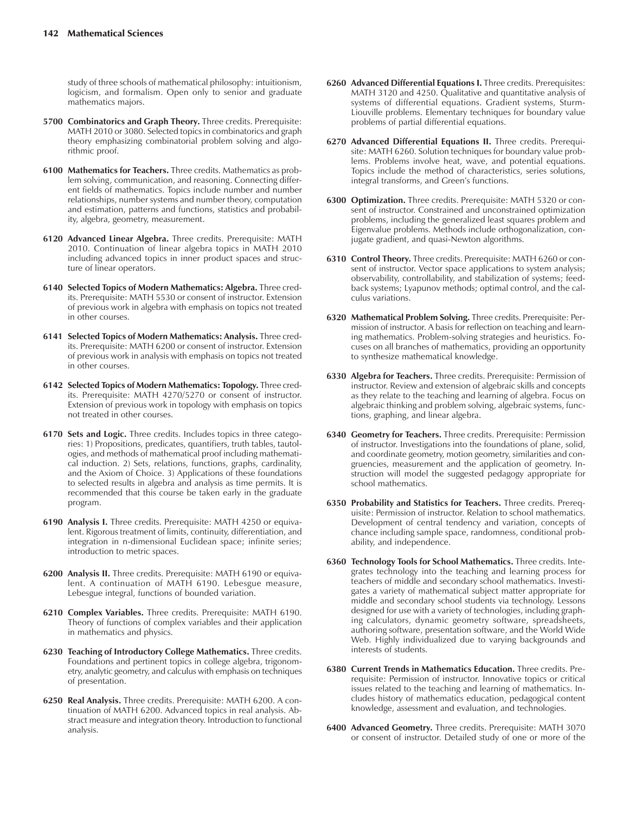study of three schools of mathematical philosophy: intuitionism, logicism, and formalism. Open only to senior and graduate mathematics majors.

- **5700 Combinatorics and Graph Theory.** Three credits. Prerequisite: MATH 2010 or 3080. Selected topics in combinatorics and graph theory emphasizing combinatorial problem solving and algorithmic proof.
- **6100 Mathematics for Teachers.** Three credits. Mathematics as problem solving, communication, and reasoning. Connecting different fields of mathematics. Topics include number and number relationships, number systems and number theory, computation and estimation, patterns and functions, statistics and probability, algebra, geometry, measurement.
- **6120 Advanced Linear Algebra.** Three credits. Prerequisite: MATH 2010. Continuation of linear algebra topics in MATH 2010 including advanced topics in inner product spaces and structure of linear operators.
- **6140 Selected Topics of Modern Mathematics: Algebra.** Three credits. Prerequisite: MATH 5530 or consent of instructor. Extension of previous work in algebra with emphasis on topics not treated in other courses.
- **6141 Selected Topics of Modern Mathematics: Analysis.** Three credits. Prerequisite: MATH 6200 or consent of instructor. Extension of previous work in analysis with emphasis on topics not treated in other courses.
- **6142 Selected Topics of Modern Mathematics: Topology.** Three credits. Prerequisite: MATH 4270/5270 or consent of instructor. Extension of previous work in topology with emphasis on topics not treated in other courses.
- **6170 Sets and Logic.** Three credits. Includes topics in three categories: 1) Propositions, predicates, quantifiers, truth tables, tautologies, and methods of mathematical proof including mathematical induction. 2) Sets, relations, functions, graphs, cardinality, and the Axiom of Choice. 3) Applications of these foundations to selected results in algebra and analysis as time permits. It is recommended that this course be taken early in the graduate program.
- **6190 Analysis I.** Three credits. Prerequisite: MATH 4250 or equivalent. Rigorous treatment of limits, continuity, differentiation, and integration in n-dimensional Euclidean space; infinite series; introduction to metric spaces.
- **6200 Analysis II.** Three credits. Prerequisite: MATH 6190 or equivalent. A continuation of MATH 6190. Lebesgue measure, Lebesgue integral, functions of bounded variation.
- **6210 Complex Variables.** Three credits. Prerequisite: MATH 6190. Theory of functions of complex variables and their application in mathematics and physics.
- **6230 Teaching of Introductory College Mathematics.** Three credits. Foundations and pertinent topics in college algebra, trigonometry, analytic geometry, and calculus with emphasis on techniques of presentation.
- **6250 Real Analysis.** Three credits. Prerequisite: MATH 6200. A continuation of MATH 6200. Advanced topics in real analysis. Abstract measure and integration theory. Introduction to functional analysis.
- **6260 Advanced Differential Equations I.** Three credits. Prerequisites: MATH 3120 and 4250. Qualitative and quantitative analysis of systems of differential equations. Gradient systems, Sturm-Liouville problems. Elementary techniques for boundary value problems of partial differential equations.
- **6270 Advanced Differential Equations II.** Three credits. Prerequisite: MATH 6260. Solution techniques for boundary value problems. Problems involve heat, wave, and potential equations. Topics include the method of characteristics, series solutions, integral transforms, and Green's functions.
- **6300 Optimization.** Three credits. Prerequisite: MATH 5320 or consent of instructor. Constrained and unconstrained optimization problems, including the generalized least squares problem and Eigenvalue problems. Methods include orthogonalization, conjugate gradient, and quasi-Newton algorithms.
- **6310 Control Theory.** Three credits. Prerequisite: MATH 6260 or consent of instructor. Vector space applications to system analysis; observability, controllability, and stabilization of systems; feedback systems; Lyapunov methods; optimal control, and the calculus variations.
- **6320 Mathematical Problem Solving.** Three credits. Prerequisite: Permission of instructor. A basis for reflection on teaching and learning mathematics. Problem-solving strategies and heuristics. Focuses on all branches of mathematics, providing an opportunity to synthesize mathematical knowledge.
- **6330 Algebra for Teachers.** Three credits. Prerequisite: Permission of instructor. Review and extension of algebraic skills and concepts as they relate to the teaching and learning of algebra. Focus on algebraic thinking and problem solving, algebraic systems, functions, graphing, and linear algebra.
- **6340 Geometry for Teachers.** Three credits. Prerequisite: Permission of instructor. Investigations into the foundations of plane, solid, and coordinate geometry, motion geometry, similarities and congruencies, measurement and the application of geometry. Instruction will model the suggested pedagogy appropriate for school mathematics.
- **6350 Probability and Statistics for Teachers.** Three credits. Prerequisite: Permission of instructor. Relation to school mathematics. Development of central tendency and variation, concepts of chance including sample space, randomness, conditional probability, and independence.
- **6360 Technology Tools for School Mathematics.** Three credits. Integrates technology into the teaching and learning process for teachers of middle and secondary school mathematics. Investigates a variety of mathematical subject matter appropriate for middle and secondary school students via technology. Lessons designed for use with a variety of technologies, including graphing calculators, dynamic geometry software, spreadsheets, authoring software, presentation software, and the World Wide Web. Highly individualized due to varying backgrounds and interests of students.
- **6380 Current Trends in Mathematics Education.** Three credits. Prerequisite: Permission of instructor. Innovative topics or critical issues related to the teaching and learning of mathematics. Includes history of mathematics education, pedagogical content knowledge, assessment and evaluation, and technologies.
- **6400 Advanced Geometry.** Three credits. Prerequisite: MATH 3070 or consent of instructor. Detailed study of one or more of the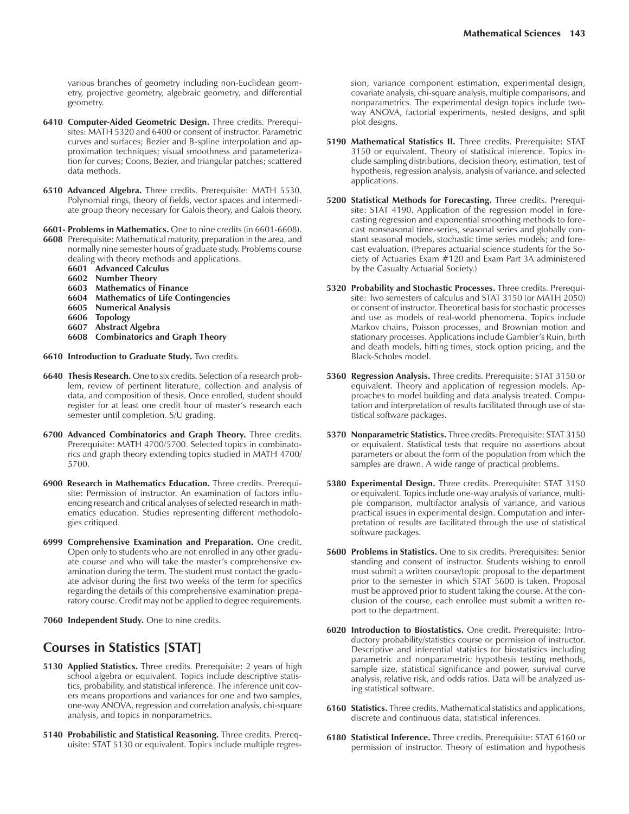various branches of geometry including non-Euclidean geometry, projective geometry, algebraic geometry, and differential geometry.

- **6410 Computer-Aided Geometric Design.** Three credits. Prerequisites: MATH 5320 and 6400 or consent of instructor. Parametric curves and surfaces; Bezier and B-spline interpolation and approximation techniques; visual smoothness and parameterization for curves; Coons, Bezier, and triangular patches; scattered data methods.
- **6510 Advanced Algebra.** Three credits. Prerequisite: MATH 5530. Polynomial rings, theory of fields, vector spaces and intermediate group theory necessary for Galois theory, and Galois theory.
- **6601- Problems in Mathematics.** One to nine credits (in 6601-6608).
- **6608** Prerequisite: Mathematical maturity, preparation in the area, and normally nine semester hours of graduate study. Problems course dealing with theory methods and applications.
	- **6601 Advanced Calculus**
	- **6602 Number Theory**
	-
	- **6603 Mathematics of Finance 6604 Mathematics of Life Contingencies**
	- **6605 Numerical Analysis**
	- **6606 Topology**
	- **6607 Abstract Algebra**
	- **6608 Combinatorics and Graph Theory**
- **6610 Introduction to Graduate Study.** Two credits.
- **6640 Thesis Research.** One to six credits. Selection of a research problem, review of pertinent literature, collection and analysis of data, and composition of thesis. Once enrolled, student should register for at least one credit hour of master's research each semester until completion. S/U grading.
- **6700 Advanced Combinatorics and Graph Theory.** Three credits. Prerequisite: MATH 4700/5700. Selected topics in combinatorics and graph theory extending topics studied in MATH 4700/ 5700.
- **6900 Research in Mathematics Education.** Three credits. Prerequisite: Permission of instructor. An examination of factors influencing research and critical analyses of selected research in mathematics education. Studies representing different methodologies critiqued.
- **6999 Comprehensive Examination and Preparation.** One credit. Open only to students who are not enrolled in any other graduate course and who will take the master's comprehensive examination during the term. The student must contact the graduate advisor during the first two weeks of the term for specifics regarding the details of this comprehensive examination preparatory course. Credit may not be applied to degree requirements.
- **7060 Independent Study.** One to nine credits.

### **Courses in Statistics [STAT]**

- **5130 Applied Statistics.** Three credits. Prerequisite: 2 years of high school algebra or equivalent. Topics include descriptive statistics, probability, and statistical inference. The inference unit covers means proportions and variances for one and two samples, one-way ANOVA, regression and correlation analysis, chi-square analysis, and topics in nonparametrics.
- **5140 Probabilistic and Statistical Reasoning.** Three credits. Prerequisite: STAT 5130 or equivalent. Topics include multiple regres-

sion, variance component estimation, experimental design, covariate analysis, chi-square analysis, multiple comparisons, and nonparametrics. The experimental design topics include twoway ANOVA, factorial experiments, nested designs, and split plot designs.

- **5190 Mathematical Statistics II.** Three credits. Prerequisite: STAT 3150 or equivalent. Theory of statistical inference. Topics include sampling distributions, decision theory, estimation, test of hypothesis, regression analysis, analysis of variance, and selected applications.
- **5200 Statistical Methods for Forecasting.** Three credits. Prerequisite: STAT 4190. Application of the regression model in forecasting regression and exponential smoothing methods to forecast nonseasonal time-series, seasonal series and globally constant seasonal models, stochastic time series models; and forecast evaluation. (Prepares actuarial science students for the Society of Actuaries Exam #120 and Exam Part 3A administered by the Casualty Actuarial Society.)
- **5320 Probability and Stochastic Processes.** Three credits. Prerequisite: Two semesters of calculus and STAT 3150 (or MATH 2050) or consent of instructor. Theoretical basis for stochastic processes and use as models of real-world phenomena. Topics include Markov chains, Poisson processes, and Brownian motion and stationary processes. Applications include Gambler's Ruin, birth and death models, hitting times, stock option pricing, and the Black-Scholes model.
- **5360 Regression Analysis.** Three credits. Prerequisite: STAT 3150 or equivalent. Theory and application of regression models. Approaches to model building and data analysis treated. Computation and interpretation of results facilitated through use of statistical software packages.
- **5370 Nonparametric Statistics.** Three credits. Prerequisite: STAT 3150 or equivalent. Statistical tests that require no assertions about parameters or about the form of the population from which the samples are drawn. A wide range of practical problems.
- **5380 Experimental Design.** Three credits. Prerequisite: STAT 3150 or equivalent. Topics include one-way analysis of variance, multiple comparison, multifactor analysis of variance, and various practical issues in experimental design. Computation and interpretation of results are facilitated through the use of statistical software packages.
- **5600 Problems in Statistics.** One to six credits. Prerequisites: Senior standing and consent of instructor. Students wishing to enroll must submit a written course/topic proposal to the department prior to the semester in which STAT 5600 is taken. Proposal must be approved prior to student taking the course. At the conclusion of the course, each enrollee must submit a written report to the department.
- **6020 Introduction to Biostatistics.** One credit. Prerequisite: Introductory probability/statistics course or permission of instructor. Descriptive and inferential statistics for biostatistics including parametric and nonparametric hypothesis testing methods, sample size, statistical significance and power, survival curve analysis, relative risk, and odds ratios. Data will be analyzed using statistical software.
- **6160 Statistics.** Three credits. Mathematical statistics and applications, discrete and continuous data, statistical inferences.
- **6180 Statistical Inference.** Three credits. Prerequisite: STAT 6160 or permission of instructor. Theory of estimation and hypothesis